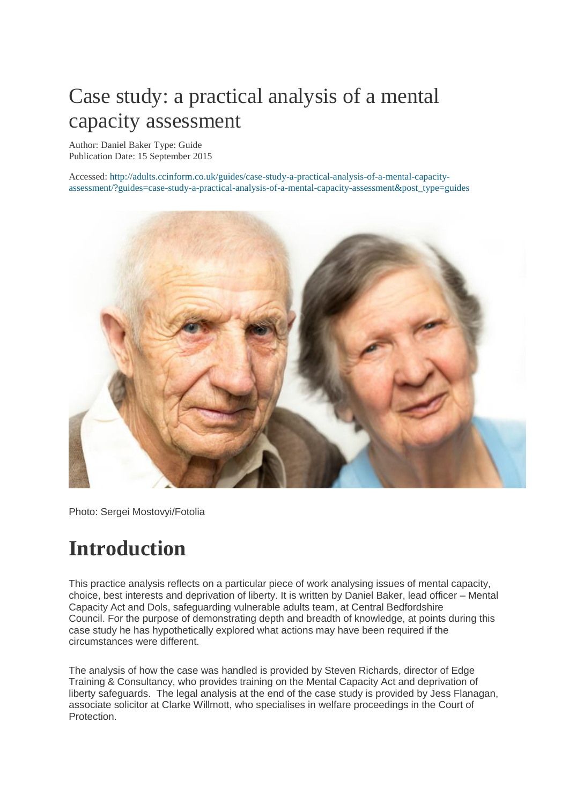## Case study: a practical analysis of a mental capacity assessment

Author[: Daniel Baker](http://adults.ccinform.co.uk/author/danielbaker/) Type: Guide Publication Date: 15 September 2015

Accessed: [http://adults.ccinform.co.uk/guides/case-study-a-practical-analysis-of-a-mental-capacity](http://adults.ccinform.co.uk/guides/case-study-a-practical-analysis-of-a-mental-capacity-assessment/?guides=case-study-a-practical-analysis-of-a-mental-capacity-assessment&post_type=guides)[assessment/?guides=case-study-a-practical-analysis-of-a-mental-capacity-assessment&post\\_type=guides](http://adults.ccinform.co.uk/guides/case-study-a-practical-analysis-of-a-mental-capacity-assessment/?guides=case-study-a-practical-analysis-of-a-mental-capacity-assessment&post_type=guides)



Photo: Sergei Mostovyi/Fotolia

## **Introduction**

This practice analysis reflects on a particular piece of work analysing issues of mental capacity, choice, best interests and deprivation of liberty. It is written by Daniel Baker, lead officer – Mental Capacity Act and Dols, safeguarding vulnerable adults team, at Central Bedfordshire Council. For the purpose of demonstrating depth and breadth of knowledge, at points during this case study he has hypothetically explored what actions may have been required if the circumstances were different.

The analysis of how the case was handled is provided by Steven Richards, director of Edge Training & Consultancy, who provides training on the Mental Capacity Act and deprivation of liberty safeguards. The legal analysis at the end of the case study is provided by Jess Flanagan, associate solicitor at Clarke Willmott, who specialises in welfare proceedings in the Court of Protection.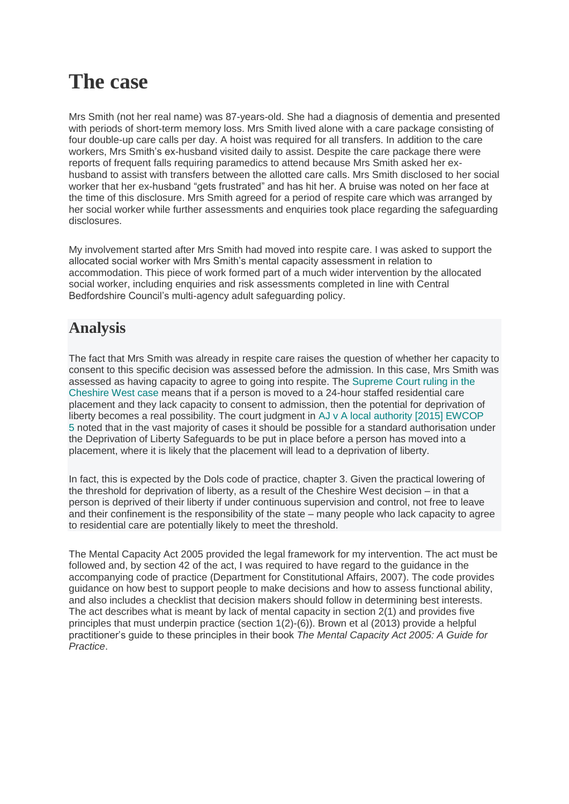## **The case**

Mrs Smith (not her real name) was 87-years-old. She had a diagnosis of dementia and presented with periods of short-term memory loss. Mrs Smith lived alone with a care package consisting of four double-up care calls per day. A hoist was required for all transfers. In addition to the care workers, Mrs Smith's ex-husband visited daily to assist. Despite the care package there were reports of frequent falls requiring paramedics to attend because Mrs Smith asked her exhusband to assist with transfers between the allotted care calls. Mrs Smith disclosed to her social worker that her ex-husband "gets frustrated" and has hit her. A bruise was noted on her face at the time of this disclosure. Mrs Smith agreed for a period of respite care which was arranged by her social worker while further assessments and enquiries took place regarding the safeguarding disclosures.

My involvement started after Mrs Smith had moved into respite care. I was asked to support the allocated social worker with Mrs Smith's mental capacity assessment in relation to accommodation. This piece of work formed part of a much wider intervention by the allocated social worker, including enquiries and risk assessments completed in line with Central Bedfordshire Council's multi-agency adult safeguarding policy.

#### **Analysis**

The fact that Mrs Smith was already in respite care raises the question of whether her capacity to consent to this specific decision was assessed before the admission. In this case, Mrs Smith was assessed as having capacity to agree to going into respite. The [Supreme Court ruling in the](http://adults.ccinform.co.uk/case-law/cheshire-west-case-p-v-cheshire-west-chester-council-p-q-v-surrey-county-council/)  [Cheshire West case](http://adults.ccinform.co.uk/case-law/cheshire-west-case-p-v-cheshire-west-chester-council-p-q-v-surrey-county-council/) means that if a person is moved to a 24-hour staffed residential care placement and they lack capacity to consent to admission, then the potential for deprivation of liberty becomes a real possibility. The court judgment in [AJ v A local authority \[2015\] EWCOP](http://adults.ccinform.co.uk/case-law/aj-litigation-friend-official-solicitor-local-authority-2015-ewcop-5/)  [5](http://adults.ccinform.co.uk/case-law/aj-litigation-friend-official-solicitor-local-authority-2015-ewcop-5/) noted that in the vast majority of cases it should be possible for a standard authorisation under the Deprivation of Liberty Safeguards to be put in place before a person has moved into a placement, where it is likely that the placement will lead to a deprivation of liberty.

In fact, this is expected by the Dols code of practice, chapter 3. Given the practical lowering of the threshold for deprivation of liberty, as a result of the Cheshire West decision – in that a person is deprived of their liberty if under continuous supervision and control, not free to leave and their confinement is the responsibility of the state – many people who lack capacity to agree to residential care are potentially likely to meet the threshold.

The Mental Capacity Act 2005 provided the legal framework for my intervention. The act must be followed and, by section 42 of the act, I was required to have regard to the guidance in the accompanying [code of practice](https://www.gov.uk/government/uploads/system/uploads/attachment_data/file/224660/Mental_Capacity_Act_code_of_practice.pdf) (Department for Constitutional Affairs, 2007). The code provides guidance on how best to support people to make decisions and how to assess functional ability, and also includes a checklist that decision makers should follow in determining best interests. The act describes what is meant by lack of mental capacity in [section 2\(1\)](http://adults.ccinform.co.uk/legislation/mental-capacity-act-2005/section-2-people-lack-capacity-3/) and provides five principles that must underpin practice (section 1(2)-(6)). Brown et al (2013) provide a helpful practitioner's guide to these principles in their book *The Mental Capacity Act 2005: A Guide for Practice*.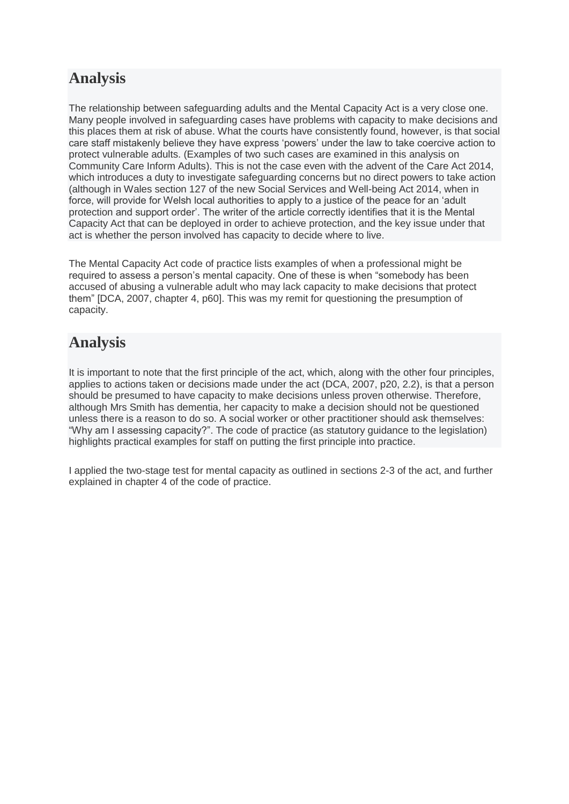#### **Analysis**

The relationship between safeguarding adults and the Mental Capacity Act is a very close one. Many people involved in safeguarding cases have problems with capacity to make decisions and this places them at risk of abuse. What the courts have consistently found, however, is that social care staff mistakenly believe they have express 'powers' under the law to take coercive action to protect vulnerable adults. (Examples of two such cases are examined in this [analysis on](http://adults.ccinform.co.uk/case-law/guide-case-law-adult-safeguarding-investigations/)  [Community Care Inform Adults\)](http://adults.ccinform.co.uk/case-law/guide-case-law-adult-safeguarding-investigations/). This is not the case even with the advent of the Care Act 2014, which introduces a duty to investigate safeguarding concerns but no direct powers to take action (although in Wales section 127 of the new Social Services and Well-being Act 2014, when in force, will provide for Welsh local authorities to apply to a justice of the peace for an 'adult protection and support order'. The writer of the article correctly identifies that it is the Mental Capacity Act that can be deployed in order to achieve protection, and the key issue under that act is whether the person involved has capacity to decide where to live.

The Mental Capacity Act [code of practice](https://www.gov.uk/government/publications/mental-capacity-act-code-of-practice) lists examples of when a professional might be required to assess a person's mental capacity. One of these is when "somebody has been accused of abusing a vulnerable adult who may lack capacity to make decisions that protect them" [\[DCA, 2007, chapter 4, p60\].](https://www.gov.uk/government/uploads/system/uploads/attachment_data/file/224660/Mental_Capacity_Act_code_of_practice.pdf) This was my remit for questioning the presumption of capacity.

### **Analysis**

It is important to note that the first principle of the act, which, along with the other four principles, applies to actions taken or decisions made under the act [\(DCA, 2007, p20, 2.2\)](https://www.gov.uk/government/uploads/system/uploads/attachment_data/file/224660/Mental_Capacity_Act_code_of_practice.pdf), is that a person should be presumed to have capacity to make decisions unless proven otherwise. Therefore, although Mrs Smith has dementia, her capacity to make a decision should not be questioned unless there is a reason to do so. A social worker or other practitioner should ask themselves: "Why am I assessing capacity?". The code of practice (as statutory guidance to the legislation) highlights practical examples for staff on putting the first principle into practice.

I applied the two-stage test for mental capacity as outlined in sections [2](http://adults.ccinform.co.uk/legislation/mental-capacity-act-2005/section-2-people-lack-capacity-3/)[-3](http://adults.ccinform.co.uk/legislation/mental-capacity-act-2005/section-3-inability-make-decisions/) of the act, and further explained in chapter 4 of the code of practice.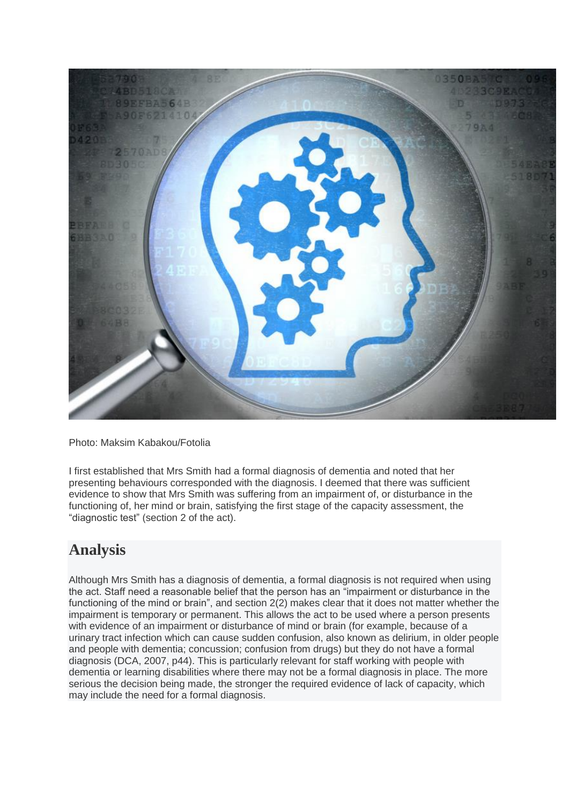

Photo: Maksim Kabakou/Fotolia

I first established that Mrs Smith had a formal diagnosis of dementia and noted that her presenting behaviours corresponded with the diagnosis. I deemed that there was sufficient evidence to show that Mrs Smith was suffering from an impairment of, or disturbance in the functioning of, her mind or brain, satisfying the first stage of the capacity assessment, the "diagnostic test" [\(section 2](http://adults.ccinform.co.uk/legislation/mental-capacity-act-2005/section-2-people-lack-capacity-3/) of the act).

#### **Analysis**

Although Mrs Smith has a diagnosis of dementia, a formal diagnosis is not required when using the act. Staff need a reasonable belief that the person has an "impairment or disturbance in the functioning of the mind or brain", and section 2(2) makes clear that it does not matter whether the impairment is temporary or permanent. This allows the act to be used where a person presents with evidence of an impairment or disturbance of mind or brain (for example, because of a urinary tract infection which can cause sudden confusion, also known as delirium, in older people and people with dementia; concussion; confusion from drugs) but they do not have a formal diagnosis [\(DCA, 2007, p44\)](https://www.gov.uk/government/uploads/system/uploads/attachment_data/file/224660/Mental_Capacity_Act_code_of_practice.pdf). This is particularly relevant for staff working with people with dementia or learning disabilities where there may not be a formal diagnosis in place. The more serious the decision being made, the stronger the required evidence of lack of capacity, which may include the need for a formal diagnosis.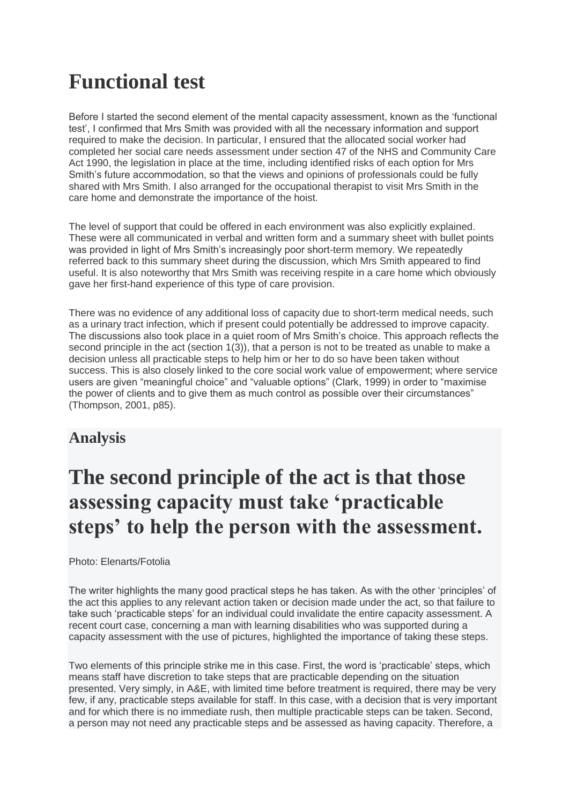## **Functional test**

Before I started the second element of the mental capacity assessment, known as the 'functional test', I confirmed that Mrs Smith was provided with all the necessary information and support required to make the decision. In particular, I ensured that the allocated social worker had completed her social care needs assessment under section 47 of the NHS and Community Care Act 1990, the legislation in place at the time, including identified risks of each option for Mrs Smith's future accommodation, so that the views and opinions of professionals could be fully shared with Mrs Smith. I also arranged for the occupational therapist to visit Mrs Smith in the care home and demonstrate the importance of the hoist.

The level of support that could be offered in each environment was also explicitly explained. These were all communicated in verbal and written form and a summary sheet with bullet points was provided in light of Mrs Smith's increasingly poor short-term memory. We repeatedly referred back to this summary sheet during the discussion, which Mrs Smith appeared to find useful. It is also noteworthy that Mrs Smith was receiving respite in a care home which obviously gave her first-hand experience of this type of care provision.

There was no evidence of any additional loss of capacity due to short-term medical needs, such as a urinary tract infection, which if present could potentially be addressed to improve capacity. The discussions also took place in a quiet room of Mrs Smith's choice. This approach reflects the second principle in the act [\(section 1\(3\)\)](http://adults.ccinform.co.uk/legislation/mental-capacity-act-2005/section-1-principles/), that a person is not to be treated as unable to make a decision unless all practicable steps to help him or her to do so have been taken without success. This is also closely linked to the core social work value of empowerment; where service users are given "meaningful choice" and "valuable options" (Clark, 1999) in order to "maximise the power of clients and to give them as much control as possible over their circumstances" (Thompson, 2001, p85).

#### **Analysis**

## **The second principle of the act is that those assessing capacity must take 'practicable steps' to help the person with the assessment.**

Photo: Elenarts/Fotolia

The writer highlights the many good practical steps he has taken. As with the other 'principles' of the act this applies to any relevant action taken or decision made under the act, so that failure to take such 'practicable steps' for an individual could invalidate the entire capacity assessment. A recent court case, concerning a man with learning disabilities who was supported during a capacity assessment with the use of pictures, highlighted the importance of taking these steps.

Two elements of this principle strike me in this case. First, the word is 'practicable' steps, which means staff have discretion to take steps that are practicable depending on the situation presented. Very simply, in A&E, with limited time before treatment is required, there may be very few, if any, practicable steps available for staff. In this case, with a decision that is very important and for which there is no immediate rush, then multiple practicable steps can be taken. Second, a person may not need any practicable steps and be assessed as having capacity. Therefore, a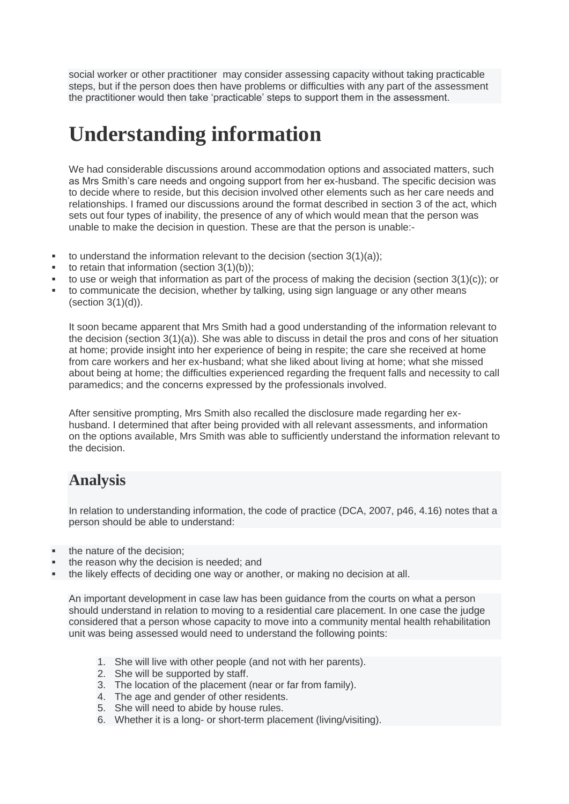social worker or other practitioner may consider assessing capacity without taking practicable steps, but if the person does then have problems or difficulties with any part of the assessment the practitioner would then take 'practicable' steps to support them in the assessment.

## **Understanding information**

We had considerable discussions around accommodation options and associated matters, such as Mrs Smith's care needs and ongoing support from her ex-husband. The specific decision was to decide where to reside, but this decision involved other elements such as her care needs and relationships. I framed our discussions around the format described in [section 3](http://adults.ccinform.co.uk/legislation/mental-capacity-act-2005/section-3-inability-make-decisions/) of the act, which sets out four types of inability, the presence of any of which would mean that the person was unable to make the decision in question. These are that the person is unable:-

- to understand the information relevant to the decision (section 3(1)(a));
- to retain that information (section 3(1)(b));
- to use or weigh that information as part of the process of making the decision (section 3(1)(c)); or
- to communicate the decision, whether by talking, using sign language or any other means (section 3(1)(d)).

It soon became apparent that Mrs Smith had a good understanding of the information relevant to the decision (section 3(1)(a)). She was able to discuss in detail the pros and cons of her situation at home; provide insight into her experience of being in respite; the care she received at home from care workers and her ex-husband; what she liked about living at home; what she missed about being at home; the difficulties experienced regarding the frequent falls and necessity to call paramedics; and the concerns expressed by the professionals involved.

After sensitive prompting, Mrs Smith also recalled the disclosure made regarding her exhusband. I determined that after being provided with all relevant assessments, and information on the options available, Mrs Smith was able to sufficiently understand the information relevant to the decision.

#### **Analysis**

In relation to understanding information, the code of practice [\(DCA, 2007, p46, 4.16\)](https://www.gov.uk/government/uploads/system/uploads/attachment_data/file/224660/Mental_Capacity_Act_code_of_practice.pdf) notes that a person should be able to understand:

- the nature of the decision;
- the reason why the decision is needed; and
- the likely effects of deciding one way or another, or making no decision at all.

An important development in case law has been guidance from the courts on what a person should understand in relation to moving to a residential care placement. In one [case](http://www.bailii.org/ew/cases/EWCOP/2014/38.html) the judge considered that a person whose capacity to move into a community mental health rehabilitation unit was being assessed would need to understand the following points:

- 1. She will live with other people (and not with her parents).
- 2. She will be supported by staff.
- 3. The location of the placement (near or far from family).
- 4. The age and gender of other residents.
- 5. She will need to abide by house rules.
- 6. Whether it is a long- or short-term placement (living/visiting).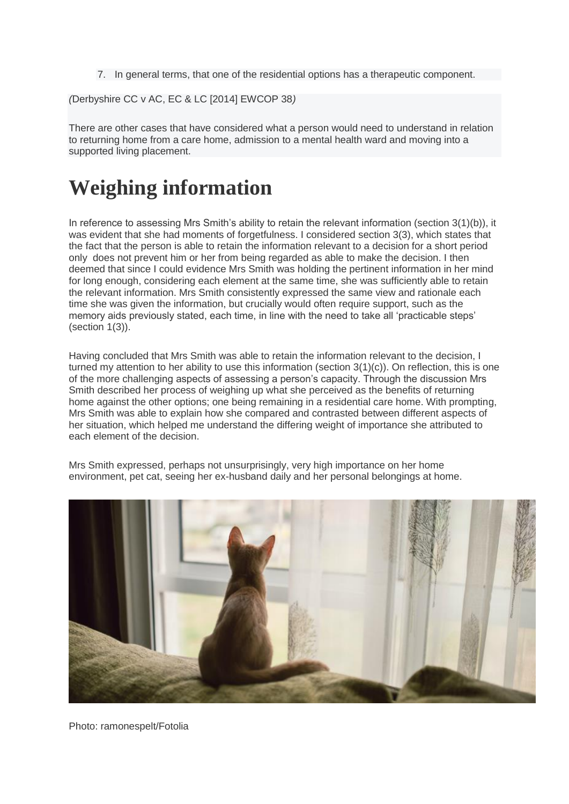7. In general terms, that one of the residential options has a therapeutic component.

*(*Derbyshire CC v AC, EC & LC [2014] EWCOP 38*)*

There are other cases that have considered what a person would need to understand in relation to returning home from a care home, admission to a mental health ward and moving into a supported living placement.

## **Weighing information**

In reference to assessing Mrs Smith's ability to retain the relevant information [\(section 3\(1\)\(b\)\)](http://adults.ccinform.co.uk/legislation/mental-capacity-act-2005/section-3-inability-make-decisions/), it was evident that she had moments of forgetfulness. I considered section 3(3), which states that the fact that the person is able to retain the information relevant to a decision for a short period only does not prevent him or her from being regarded as able to make the decision. I then deemed that since I could evidence Mrs Smith was holding the pertinent information in her mind for long enough, considering each element at the same time, she was sufficiently able to retain the relevant information. Mrs Smith consistently expressed the same view and rationale each time she was given the information, but crucially would often require support, such as the memory aids previously stated, each time, in line with the need to take all 'practicable steps' (section 1(3)).

Having concluded that Mrs Smith was able to retain the information relevant to the decision, I turned my attention to her ability to use this information [\(section 3\(1\)\(c\)\)](http://adults.ccinform.co.uk/legislation/mental-capacity-act-2005/section-3-inability-make-decisions/). On reflection, this is one of the more challenging aspects of assessing a person's capacity. Through the discussion Mrs Smith described her process of weighing up what she perceived as the benefits of returning home against the other options; one being remaining in a residential care home. With prompting, Mrs Smith was able to explain how she compared and contrasted between different aspects of her situation, which helped me understand the differing weight of importance she attributed to each element of the decision.

Mrs Smith expressed, perhaps not unsurprisingly, very high importance on her home environment, pet cat, seeing her ex-husband daily and her personal belongings at home.



Photo: ramonespelt/Fotolia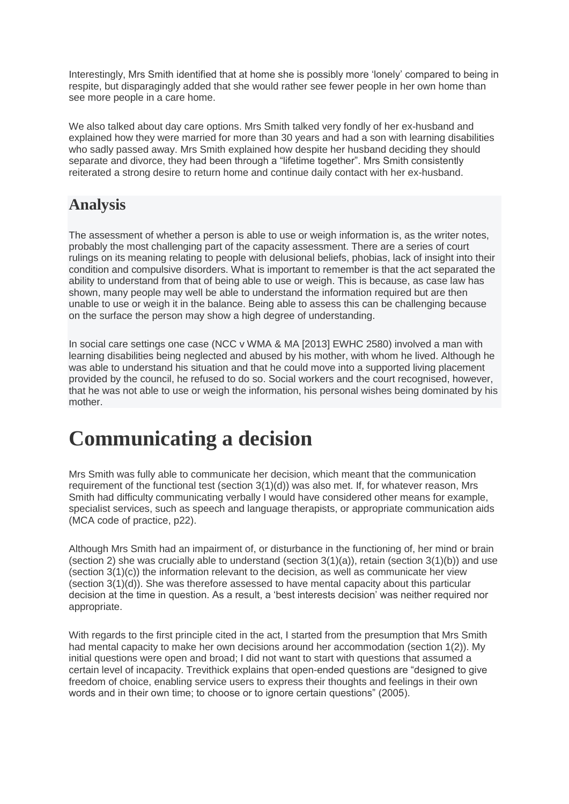Interestingly, Mrs Smith identified that at home she is possibly more 'lonely' compared to being in respite, but disparagingly added that she would rather see fewer people in her own home than see more people in a care home.

We also talked about day care options. Mrs Smith talked very fondly of her ex-husband and explained how they were married for more than 30 years and had a son with learning disabilities who sadly passed away. Mrs Smith explained how despite her husband deciding they should separate and divorce, they had been through a "lifetime together". Mrs Smith consistently reiterated a strong desire to return home and continue daily contact with her ex-husband.

#### **Analysis**

The assessment of whether a person is able to use or weigh information is, as the writer notes, probably the most challenging part of the capacity assessment. There are a series of court rulings on its meaning relating to people with delusional beliefs, phobias, lack of insight into their condition and compulsive disorders. What is important to remember is that the act separated the ability to understand from that of being able to use or weigh. This is because, as case law has shown, many people may well be able to understand the information required but are then unable to use or weigh it in the balance. Being able to assess this can be challenging because on the surface the person may show a high degree of understanding.

In social care settings one case [\(NCC v WMA & MA](http://www.bailii.org/ew/cases/EWHC/COP/2013/2580.html) [\[2013\] EWHC 2580\)](http://www.bailii.org/ew/cases/EWHC/COP/2013/2580.html) involved a man with learning disabilities being neglected and abused by his mother, with whom he lived. Although he was able to understand his situation and that he could move into a supported living placement provided by the council, he refused to do so. Social workers and the court recognised, however, that he was not able to use or weigh the information, his personal wishes being dominated by his mother.

# **Communicating a decision**

Mrs Smith was fully able to communicate her decision, which meant that the communication requirement of the functional test [\(section 3\(1\)\(d\)\)](http://adults.ccinform.co.uk/legislation/mental-capacity-act-2005/section-3-inability-make-decisions/) was also met. If, for whatever reason, Mrs Smith had difficulty communicating verbally I would have considered other means for example, specialist services, such as speech and language therapists, or appropriate communication aids (MCA code of practice, p22).

Although Mrs Smith had an impairment of, or disturbance in the functioning of, her mind or brain (section 2) she was crucially able to understand (section 3(1)(a)), retain (section 3(1)(b)) and use (section 3(1)(c)) the information relevant to the decision, as well as communicate her view (section 3(1)(d)). She was therefore assessed to have mental capacity about this particular decision at the time in question. As a result, a 'best interests decision' was neither required nor appropriate.

With regards to the first principle cited in the act. I started from the presumption that Mrs Smith had mental capacity to make her own decisions around her accommodation (section 1(2)). My initial questions were open and broad; I did not want to start with questions that assumed a certain level of incapacity. Trevithick explains that open-ended questions are "designed to give freedom of choice, enabling service users to express their thoughts and feelings in their own words and in their own time; to choose or to ignore certain questions" (2005).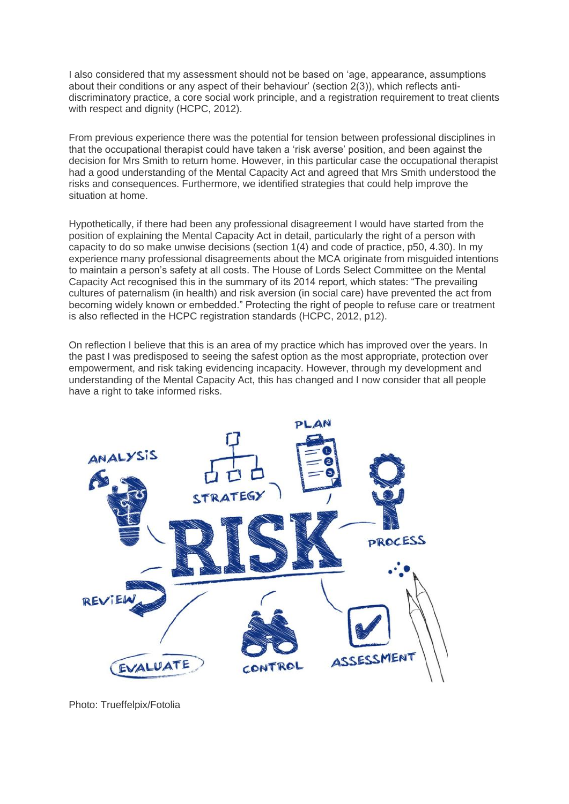I also considered that my assessment should not be based on 'age, appearance, assumptions about their conditions or any aspect of their behaviour' (section 2(3)), which reflects antidiscriminatory practice, a core social work principle, and a registration requirement to treat clients with respect and dignity (HCPC, 2012).

From previous experience there was the potential for tension between professional disciplines in that the occupational therapist could have taken a 'risk averse' position, and been against the decision for Mrs Smith to return home. However, in this particular case the occupational therapist had a good understanding of the Mental Capacity Act and agreed that Mrs Smith understood the risks and consequences. Furthermore, we identified strategies that could help improve the situation at home.

Hypothetically, if there had been any professional disagreement I would have started from the position of explaining the Mental Capacity Act in detail, particularly the right of a person with capacity to do so make unwise decisions (section 1(4) and [code of practice, p50, 4.30\)](https://www.gov.uk/government/uploads/system/uploads/attachment_data/file/224660/Mental_Capacity_Act_code_of_practice.pdf). In my experience many professional disagreements about the MCA originate from misguided intentions to maintain a person's safety at all costs. The [House of Lords Select Committee on the Mental](http://www.parliament.uk/business/committees/committees-a-z/lords-select/mental-capacity-act-2005/)  [Capacity Act](http://www.parliament.uk/business/committees/committees-a-z/lords-select/mental-capacity-act-2005/) recognised this in the summary of its 2014 report, which states: "The prevailing cultures of paternalism (in health) and risk aversion (in social care) have prevented the act from becoming widely known or embedded." Protecting the right of people to refuse care or treatment is also reflected in the HCPC registration standards (HCPC, 2012, p12).

On reflection I believe that this is an area of my practice which has improved over the years. In the past I was predisposed to seeing the safest option as the most appropriate, protection over empowerment, and risk taking evidencing incapacity. However, through my development and understanding of the Mental Capacity Act, this has changed and I now consider that all people have a right to take informed risks.



Photo: Trueffelpix/Fotolia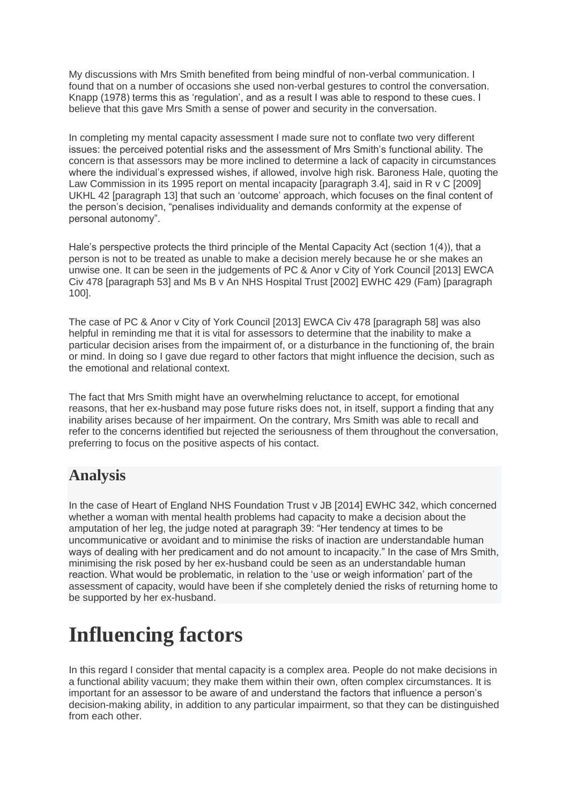My discussions with Mrs Smith benefited from being mindful of non-verbal communication. I found that on a number of occasions she used non-verbal gestures to control the conversation. Knapp (1978) terms this as 'regulation', and as a result I was able to respond to these cues. I believe that this gave Mrs Smith a sense of power and security in the conversation.

In completing my mental capacity assessment I made sure not to conflate two very different issues: the perceived potential risks and the assessment of Mrs Smith's functional ability. The concern is that assessors may be more inclined to determine a lack of capacity in circumstances where the individual's expressed wishes, if allowed, involve high risk. Baroness Hale, quoting the [Law Commission in its 1995 report on mental incapacity \[paragraph 3.4\],](https://www.gov.uk/government/uploads/system/uploads/attachment_data/file/228896/0189.pdf) said in [R v C \[2009\]](http://www.publications.parliament.uk/pa/ld200809/ldjudgmt/jd090730/rvc-1.htm)  UKHL 42 [\[paragraph 13\]](http://www.publications.parliament.uk/pa/ld200809/ldjudgmt/jd090730/rvc-1.htm) that such an 'outcome' approach, which focuses on the final content of the person's decision, "penalises individuality and demands conformity at the expense of personal autonomy".

Hale's perspective protects the third principle of the Mental Capacity Act (section 1(4)), that a person is not to be treated as unable to make a decision merely because he or she makes an unwise one. It can be seen in the judgements of [PC & Anor v City of York Council \[2013\] EWCA](http://www.bailii.org/ew/cases/EWCA/Civ/2013/478.html)  [Civ 478 \[paragraph 53\]](http://www.bailii.org/ew/cases/EWCA/Civ/2013/478.html) and [Ms B v An NHS Hospital Trust \[2002\] EWHC 429 \(Fam\) \[paragraph](http://www.bailii.org/ew/cases/EWHC/Fam/2002/429.html)  [100\].](http://www.bailii.org/ew/cases/EWHC/Fam/2002/429.html)

The case of [PC & Anor v City of York Council \[2013\] EWCA Civ 478 \[paragraph 58\]](http://www.bailii.org/ew/cases/EWCA/Civ/2013/478.html) was also helpful in reminding me that it is vital for assessors to determine that the inability to make a particular decision arises from the impairment of, or a disturbance in the functioning of, the brain or mind. In doing so I gave due regard to other factors that might influence the decision, such as the emotional and relational context.

The fact that Mrs Smith might have an overwhelming reluctance to accept, for emotional reasons, that her ex-husband may pose future risks does not, in itself, support a finding that any inability arises because of her impairment. On the contrary, Mrs Smith was able to recall and refer to the concerns identified but rejected the seriousness of them throughout the conversation, preferring to focus on the positive aspects of his contact.

#### **Analysis**

In the case of [Heart of England NHS Foundation Trust v JB \[2014\] EWHC 342,](http://www.bailii.org/ew/cases/EWHC/COP/2014/342.html) which concerned whether a woman with mental health problems had capacity to make a decision about the amputation of her leg, the judge noted at paragraph 39: "Her tendency at times to be uncommunicative or avoidant and to minimise the risks of inaction are understandable human ways of dealing with her predicament and do not amount to incapacity." In the case of Mrs Smith, minimising the risk posed by her ex-husband could be seen as an understandable human reaction. What would be problematic, in relation to the 'use or weigh information' part of the assessment of capacity, would have been if she completely denied the risks of returning home to be supported by her ex-husband.

# **Influencing factors**

In this regard I consider that mental capacity is a complex area. People do not make decisions in a functional ability vacuum; they make them within their own, often complex circumstances. It is important for an assessor to be aware of and understand the factors that influence a person's decision-making ability, in addition to any particular impairment, so that they can be distinguished from each other.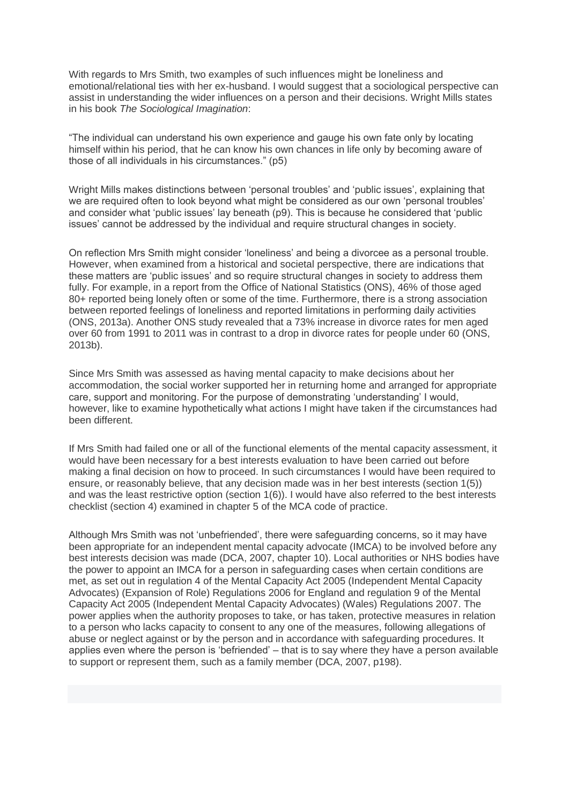With regards to Mrs Smith, two examples of such influences might be loneliness and emotional/relational ties with her ex-husband. I would suggest that a sociological perspective can assist in understanding the wider influences on a person and their decisions. Wright Mills states in his book *The Sociological Imagination*:

"The individual can understand his own experience and gauge his own fate only by locating himself within his period, that he can know his own chances in life only by becoming aware of those of all individuals in his circumstances." (p5)

Wright Mills makes distinctions between 'personal troubles' and 'public issues', explaining that we are required often to look beyond what might be considered as our own 'personal troubles' and consider what 'public issues' lay beneath (p9). This is because he considered that 'public issues' cannot be addressed by the individual and require structural changes in society.

On reflection Mrs Smith might consider 'loneliness' and being a divorcee as a personal trouble. However, when examined from a historical and societal perspective, there are indications that these matters are 'public issues' and so require structural changes in society to address them fully. For example, in a report from the Office of National Statistics (ONS), 46% of those aged 80+ reported being lonely often or some of the time. Furthermore, there is a strong association between reported feelings of loneliness and reported limitations in performing daily activities (ONS, 2013a). Another ONS study revealed that a 73% increase in divorce rates for men aged over 60 from 1991 to 2011 was in contrast to a drop in divorce rates for people under 60 (ONS, 2013b).

Since Mrs Smith was assessed as having mental capacity to make decisions about her accommodation, the social worker supported her in returning home and arranged for appropriate care, support and monitoring. For the purpose of demonstrating 'understanding' I would, however, like to examine hypothetically what actions I might have taken if the circumstances had been different.

If Mrs Smith had failed one or all of the functional elements of the mental capacity assessment, it would have been necessary for a best interests evaluation to have been carried out before making a final decision on how to proceed. In such circumstances I would have been required to ensure, or reasonably believe, that any decision made was in her best interests (section 1(5)) and was the least restrictive option (section 1(6)). I would have also referred to the best interests checklist (section 4) examined in chapter 5 of the MCA code of practice.

Although Mrs Smith was not 'unbefriended', there were safeguarding concerns, so it may have been appropriate for an independent mental capacity advocate (IMCA) to be involved before any best interests decision was made [\(DCA, 2007, chapter 10\)](https://www.gov.uk/government/uploads/system/uploads/attachment_data/file/224660/Mental_Capacity_Act_code_of_practice.pdf). Local authorities or NHS bodies have the power to appoint an IMCA for a person in safeguarding cases when certain conditions are met, as set out in [regulation 4 of the Mental Capacity Act 2005 \(Independent Mental Capacity](http://adults.ccinform.co.uk/legislation/mental-capacity-act-2005-independent-mental-capacity-advocates-expansion-role-regulations-2006-si-20062883-amended/)  [Advocates\) \(Expansion of Role\) Regulations 2006](http://adults.ccinform.co.uk/legislation/mental-capacity-act-2005-independent-mental-capacity-advocates-expansion-role-regulations-2006-si-20062883-amended/) for England and [regulation 9 of the Mental](http://adults.ccinform.co.uk/legislation/mental-capacity-act-2005-independent-mental-capacity-advocates-wales-regulations-2007-si-2007852-amended/)  [Capacity Act 2005 \(Independent Mental Capacity Advocates\) \(Wales\) Regulations 2007.](http://adults.ccinform.co.uk/legislation/mental-capacity-act-2005-independent-mental-capacity-advocates-wales-regulations-2007-si-2007852-amended/) The power applies when the authority proposes to take, or has taken, protective measures in relation to a person who lacks capacity to consent to any one of the measures, following allegations of abuse or neglect against or by the person and in accordance with safeguarding procedures. It applies even where the person is 'befriended' – that is to say where they have a person available to support or represent them, such as a family member [\(DCA, 2007, p198\)](https://www.gov.uk/government/uploads/system/uploads/attachment_data/file/224660/Mental_Capacity_Act_code_of_practice.pdf).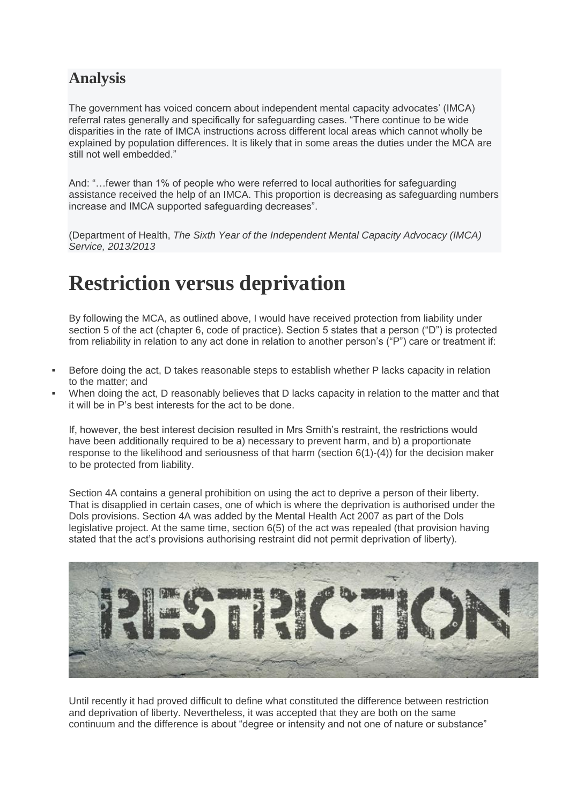#### **Analysis**

The government has voiced concern about independent mental capacity advocates' (IMCA) referral rates generally and specifically for safeguarding cases. "There continue to be wide disparities in the rate of IMCA instructions across different local areas which cannot wholly be explained by population differences. It is likely that in some areas the duties under the MCA are still not well embedded."

And: "…fewer than 1% of people who were referred to local authorities for safeguarding assistance received the help of an IMCA. This proportion is decreasing as safeguarding numbers increase and IMCA supported safeguarding decreases".

(Department of Health, *[The Sixth Year of the Independent Mental Capacity Advocacy \(IMCA\)](https://www.gov.uk/government/uploads/system/uploads/attachment_data/file/280884/The_Sixth_Year_of_the_Independent_Mental_Capacity_Advocacy_v6.pdf)  [Service, 2013/2013](https://www.gov.uk/government/uploads/system/uploads/attachment_data/file/280884/The_Sixth_Year_of_the_Independent_Mental_Capacity_Advocacy_v6.pdf)*

## **Restriction versus deprivation**

By following the MCA, as outlined above, I would have received protection from liability under [section 5 o](http://adults.ccinform.co.uk/legislation/mental-capacity-act-2005/section-5-acts-connection-care-treatment/)f the act [\(chapter 6, code of practice\)](https://www.gov.uk/government/uploads/system/uploads/attachment_data/file/224660/Mental_Capacity_Act_code_of_practice.pdf). Section 5 states that a person ("D") is protected from reliability in relation to any act done in relation to another person's ("P") care or treatment if:

- Before doing the act, D takes reasonable steps to establish whether P lacks capacity in relation to the matter; and
- When doing the act, D reasonably believes that D lacks capacity in relation to the matter and that it will be in P's best interests for the act to be done.

If, however, the best interest decision resulted in Mrs Smith's restraint, the restrictions would have been additionally required to be a) necessary to prevent harm, and b) a proportionate response to the likelihood and seriousness of that harm [\(section 6\(1\)-\(4\)\)](http://adults.ccinform.co.uk/legislation/mental-capacity-act-2005/section-6-section-5-acts-limitations/) for the decision maker to be protected from liability.

Section 4A contains a general prohibition on using the act to deprive a person of their liberty. That is disapplied in certain cases, one of which is where the deprivation is authorised under the Dols provisions. Section 4A was added by the Mental Health Act 2007 as part of the Dols legislative project. At the same time, section 6(5) of the act was repealed (that provision having stated that the act's provisions authorising restraint did not permit deprivation of liberty).



Until recently it had proved difficult to define what constituted the difference between restriction and deprivation of liberty. Nevertheless, it was accepted that they are both on the same continuum and the difference is about "degree or intensity and not one of nature or substance"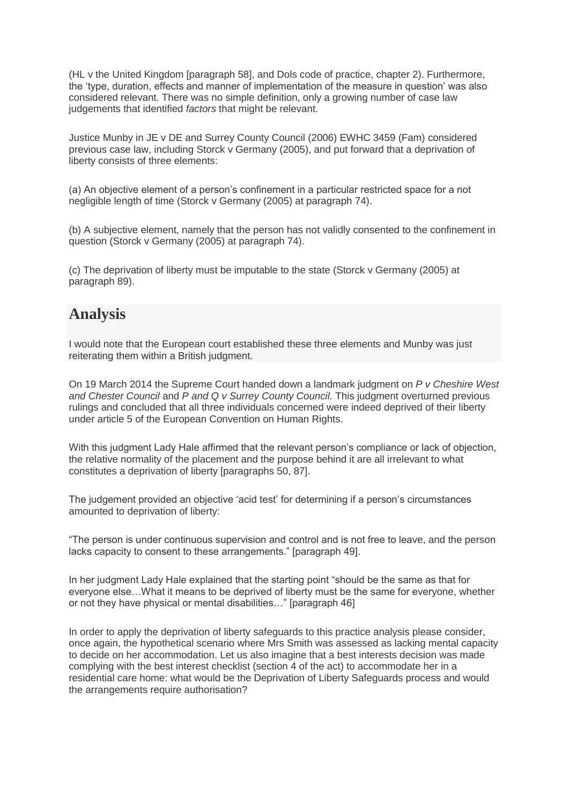[\(HL v the United Kingdom \[paragraph 58\],](http://hudoc.echr.coe.int/sites/eng/pages/search.aspx?i=001-66757#%7B%22itemid%22:[%22001-66757%22]%7D) and [Dols code of practice,](http://webarchive.nationalarchives.gov.uk/20130107105354/http:/www.dh.gov.uk/prod_consum_dh/groups/dh_digitalassets/@dh/@en/documents/digitalasset/dh_087309.pdf) chapter 2). Furthermore, the 'type, duration, effects and manner of implementation of the measure in question' was also considered relevant. There was no simple definition, only a growing number of case law judgements that identified *factors* that might be relevant.

Justice Munby in [JE v DE and Surrey County Council \(2006\) EWHC 3459 \(Fam\)](http://www.bailii.org/ew/cases/EWHC/Fam/2006/3459.html) considered previous case law, including [Storck v Germany \(2005\),](http://www.bailii.org/eu/cases/ECHR/2005/406.html) and put forward that a deprivation of liberty consists of three elements:

(a) An objective element of a person's confinement in a particular restricted space for a not negligible length of time (Storck v Germany (2005) at paragraph 74).

(b) A subjective element, namely that the person has not validly consented to the confinement in question (Storck v Germany (2005) at paragraph 74).

(c) The deprivation of liberty must be imputable to the state (Storck v Germany (2005) at paragraph 89).

#### **Analysis**

I would note that the European court established these three elements and Munby was just reiterating them within a British judgment.

On 19 March 2014 the Supreme Court handed down a landmark judgment on *[P v Cheshire West](http://adults.ccinform.co.uk/case-law/cheshire-west-case-p-v-cheshire-west-chester-council-p-q-v-surrey-county-council/)  and Chester Council* and *[P and Q v Surrey County Council.](http://adults.ccinform.co.uk/case-law/cheshire-west-case-p-v-cheshire-west-chester-council-p-q-v-surrey-county-council/)* This judgment overturned previous rulings and concluded that all three individuals concerned were indeed deprived of their liberty under article 5 of the European Convention on Human Rights.

With this judgment Lady Hale affirmed that the relevant person's compliance or lack of objection, the relative normality of the placement and the purpose behind it are all irrelevant to what constitutes a deprivation of liberty [paragraphs 50, 87].

The judgement provided an objective 'acid test' for determining if a person's circumstances amounted to deprivation of liberty:

"The person is under continuous supervision and control and is not free to leave, and the person lacks capacity to consent to these arrangements." [paragraph 49].

In her judgment Lady Hale explained that the starting point "should be the same as that for everyone else…What it means to be deprived of liberty must be the same for everyone, whether or not they have physical or mental disabilities…" [paragraph 46]

In order to apply the deprivation of liberty safeguards to this practice analysis please consider, once again, the hypothetical scenario where Mrs Smith was assessed as lacking mental capacity to decide on her accommodation. Let us also imagine that a best interests decision was made complying with the best interest checklist (section 4 of the act) to accommodate her in a residential care home: what would be the Deprivation of Liberty Safeguards process and would the arrangements require authorisation?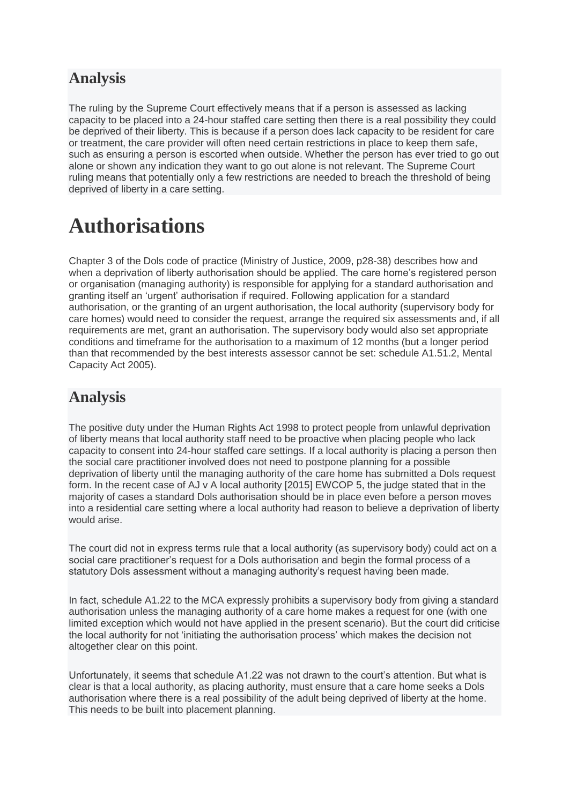#### **Analysis**

The ruling by the Supreme Court effectively means that if a person is assessed as lacking capacity to be placed into a 24-hour staffed care setting then there is a real possibility they could be deprived of their liberty. This is because if a person does lack capacity to be resident for care or treatment, the care provider will often need certain restrictions in place to keep them safe, such as ensuring a person is escorted when outside. Whether the person has ever tried to go out alone or shown any indication they want to go out alone is not relevant. The Supreme Court ruling means that potentially only a few restrictions are needed to breach the threshold of being deprived of liberty in a care setting.

### **Authorisations**

Chapter 3 of the [Dols code of practice](http://webarchive.nationalarchives.gov.uk/20130107105354/http:/www.dh.gov.uk/prod_consum_dh/groups/dh_digitalassets/@dh/@en/documents/digitalasset/dh_087309.pdf) (Ministry of Justice, 2009, p28-38) describes how and when a deprivation of liberty authorisation should be applied. The care home's registered person or organisation (managing authority) is responsible for applying for a standard authorisation and granting itself an 'urgent' authorisation if required. Following application for a standard authorisation, or the granting of an urgent authorisation, the local authority (supervisory body for care homes) would need to consider the request, arrange the required six assessments and, if all requirements are met, grant an authorisation. The supervisory body would also set appropriate conditions and timeframe for the authorisation to a maximum of 12 months (but a longer period than that recommended by the best interests assessor cannot be set: schedule A1.51.2, Mental Capacity Act 2005).

#### **Analysis**

The positive duty under the Human Rights Act 1998 to protect people from unlawful deprivation of liberty means that local authority staff need to be proactive when placing people who lack capacity to consent into 24-hour staffed care settings. If a local authority is placing a person then the social care practitioner involved does not need to postpone planning for a possible deprivation of liberty until the managing authority of the care home has submitted a Dols request form. In the recent case of [AJ v A local authority \[2015\] EWCOP 5,](http://adults.ccinform.co.uk/case-law/aj-litigation-friend-official-solicitor-local-authority-2015-ewcop-5/) the judge stated that in the majority of cases a standard Dols authorisation should be in place even before a person moves into a residential care setting where a local authority had reason to believe a deprivation of liberty would arise.

The court did not in express terms rule that a local authority (as supervisory body) could act on a social care practitioner's request for a Dols authorisation and begin the formal process of a statutory Dols assessment without a managing authority's request having been made.

In fact, schedule A1.22 to the MCA expressly prohibits a supervisory body from giving a standard authorisation unless the managing authority of a care home makes a request for one (with one limited exception which would not have applied in the present scenario). But the court did criticise the local authority for not 'initiating the authorisation process' which makes the decision not altogether clear on this point.

Unfortunately, it seems that schedule A1.22 was not drawn to the court's attention. But what is clear is that a local authority, as placing authority, must ensure that a care home seeks a Dols authorisation where there is a real possibility of the adult being deprived of liberty at the home. This needs to be built into placement planning.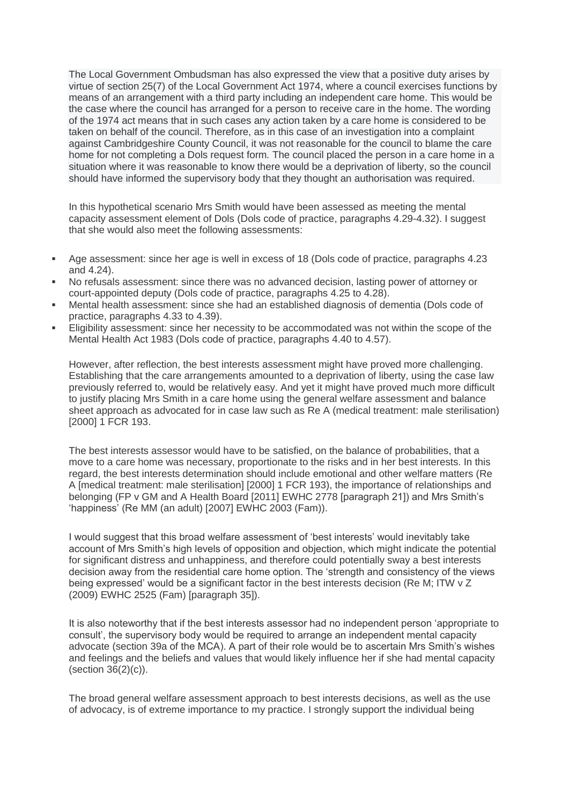The Local Government Ombudsman has also expressed the view that a positive duty arises by virtue of section [25\(7\) of the Local Government Act 1974,](http://www.legislation.gov.uk/ukpga/2007/28/section/172/prospective#section-172-7) where a council exercises functions by means of an arrangement with a third party including an independent care home. This would be the case where the council has arranged for a person to receive care in the home. The wording of the 1974 act means that in such cases any action taken by a care home is considered to be taken on behalf of the council. Therefore, as in [this case of an investigation into a c](http://www.lgo.org.uk/downloads/CO%20Adult%20social%20care/2014-2015/2111-13-016-935-Cambridgeshire-CC-20.1.2015.pdf)omplaint against Cambridgeshire County Council, it was not reasonable for the council to blame the care home for not completing a Dols request form*.* The council placed the person in a care home in a situation where it was reasonable to know there would be a deprivation of liberty, so the council should have informed the supervisory body that they thought an authorisation was required.

In this hypothetical scenario Mrs Smith would have been assessed as meeting the mental capacity assessment element of Dols [\(Dols code of practice,](http://webarchive.nationalarchives.gov.uk/20130107105354/http:/www.dh.gov.uk/prod_consum_dh/groups/dh_digitalassets/@dh/@en/documents/digitalasset/dh_087309.pdf) paragraphs 4.29-4.32). I suggest that she would also meet the following assessments:

- Age assessment: since her age is well in excess of 18 [\(Dols code of practice,](http://webarchive.nationalarchives.gov.uk/20130107105354/http:/www.dh.gov.uk/prod_consum_dh/groups/dh_digitalassets/@dh/@en/documents/digitalasset/dh_087309.pdf) paragraphs 4.23 and 4.24).
- No refusals assessment: since there was no advanced decision, lasting power of attorney or court-appointed deputy [\(Dols code of practice,](http://webarchive.nationalarchives.gov.uk/20130107105354/http:/www.dh.gov.uk/prod_consum_dh/groups/dh_digitalassets/@dh/@en/documents/digitalasset/dh_087309.pdf) paragraphs 4.25 to 4.28).
- Mental health assessment: since she had an established diagnosis of dementia [\(Dols code of](http://webarchive.nationalarchives.gov.uk/20130107105354/http:/www.dh.gov.uk/prod_consum_dh/groups/dh_digitalassets/@dh/@en/documents/digitalasset/dh_087309.pdf)  [practice,](http://webarchive.nationalarchives.gov.uk/20130107105354/http:/www.dh.gov.uk/prod_consum_dh/groups/dh_digitalassets/@dh/@en/documents/digitalasset/dh_087309.pdf) paragraphs 4.33 to 4.39).
- Eligibility assessment: since her necessity to be accommodated was not within the scope of the Mental Health Act 1983 [\(Dols code of practice,](http://webarchive.nationalarchives.gov.uk/20130107105354/http:/www.dh.gov.uk/prod_consum_dh/groups/dh_digitalassets/@dh/@en/documents/digitalasset/dh_087309.pdf) paragraphs 4.40 to 4.57).

However, after reflection, the best interests assessment might have proved more challenging. Establishing that the care arrangements amounted to a deprivation of liberty, using the case law previously referred to, would be relatively easy. And yet it might have proved much more difficult to justify placing Mrs Smith in a care home using the general welfare assessment and balance sheet approach as advocated for in case law such as [Re A \(medical treatment: male sterilisation\)](http://www.cirp.org/library/legal/Re_A2000/)  [\[2000\] 1 FCR 193.](http://www.cirp.org/library/legal/Re_A2000/)

The best interests assessor would have to be satisfied, on the balance of probabilities, that a move to a care home was necessary, proportionate to the risks and in her best interests. In this regard, the best interests determination should include emotional and other welfare matters [\(Re](http://www.cirp.org/library/legal/Re_A2000/)  [A \[medical treatment: male sterilisation\] \[2000\] 1 FCR 193\)](http://www.cirp.org/library/legal/Re_A2000/), the importance of relationships and belonging [\(FP v GM and A Health Board \[2011\] EWHC 2778](http://www.mentalhealthlaw.co.uk/Re_GM;_FP_v_GM_and_A_Health_Board_%282011%29_EWHC_2778_%28COP%29) [paragraph 21]) and Mrs Smith's 'happiness' (Re [MM \(an adult\) \[2007\] EWHC 2003 \(Fam\)\)](http://www.bailii.org/ew/cases/EWHC/Fam/2007/2003.html).

I would suggest that this broad welfare assessment of 'best interests' would inevitably take account of Mrs Smith's high levels of opposition and objection, which might indicate the potential for significant distress and unhappiness, and therefore could potentially sway a best interests decision away from the residential care home option. The 'strength and consistency of the views being expressed' would be a significant factor in the best interests decision (Re [M; ITW v Z](http://www.bailii.org/ew/cases/EWHC/Fam/2009/2525.html)  [\(2009\) EWHC 2525 \(Fam\)](http://www.bailii.org/ew/cases/EWHC/Fam/2009/2525.html) [paragraph 35]).

It is also noteworthy that if the best interests assessor had no independent person 'appropriate to consult', the supervisory body would be required to arrange an independent mental capacity advocate [\(section 39a](http://adults.ccinform.co.uk/legislation/mental-capacity-act-2005/section-39a-person-becomes-subject-schedule-a1/) of the MCA). A part of their role would be to ascertain Mrs Smith's wishes and feelings and the beliefs and values that would likely influence her if she had mental capacity [\(section 36\(2\)\(c\)\)](http://adults.ccinform.co.uk/legislation/mental-capacity-act-2005/section-36-functions-independent-mental-capacity-advocates/).

The broad general welfare assessment approach to best interests decisions, as well as the use of advocacy, is of extreme importance to my practice. I strongly support the individual being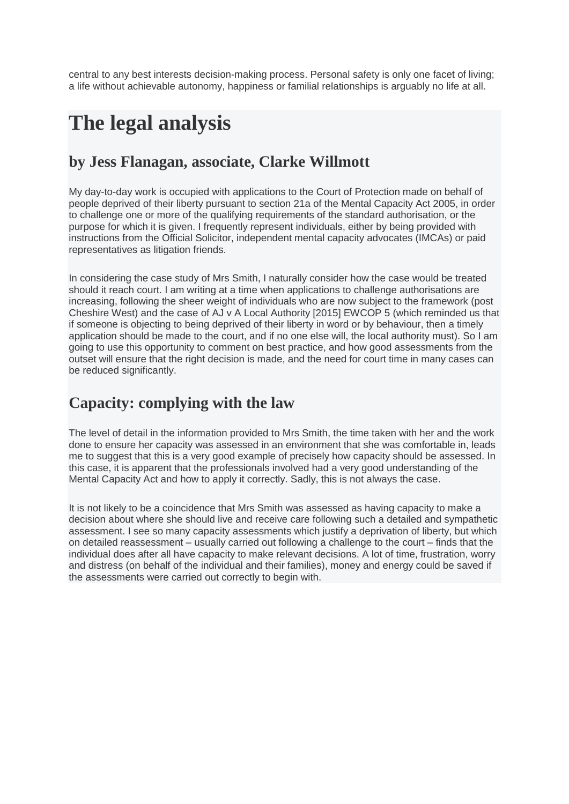central to any best interests decision-making process. Personal safety is only one facet of living; a life without achievable autonomy, happiness or familial relationships is arguably no life at all.

## **The legal analysis**

#### **by Jess Flanagan, associate, Clarke Willmott**

My day-to-day work is occupied with applications to the Court of Protection made on behalf of people deprived of their liberty pursuant to [section 21a](http://adults.ccinform.co.uk/legislation/mental-capacity-act-2005/section-21a-powers-court-relation-schedule-a1/) of the Mental Capacity Act 2005, in order to challenge one or more of the qualifying requirements of the standard authorisation, or the purpose for which it is given. I frequently represent individuals, either by being provided with instructions from the Official Solicitor, independent mental capacity advocates (IMCAs) or paid representatives as litigation friends.

In considering the case study of Mrs Smith, I naturally consider how the case would be treated should it reach court. I am writing at a time when applications to challenge authorisations are increasing, following the sheer weight of individuals who are now subject to the framework (post Cheshire West) and the case of [AJ v A Local Authority \[2015\] EWCOP 5](http://adults.ccinform.co.uk/case-law/aj-litigation-friend-official-solicitor-local-authority-2015-ewcop-5/) (which reminded us that if someone is objecting to being deprived of their liberty in word or by behaviour, then a timely application should be made to the court, and if no one else will, the local authority must). So I am going to use this opportunity to comment on best practice, and how good assessments from the outset will ensure that the right decision is made, and the need for court time in many cases can be reduced significantly.

#### **Capacity: complying with the law**

The level of detail in the information provided to Mrs Smith, the time taken with her and the work done to ensure her capacity was assessed in an environment that she was comfortable in, leads me to suggest that this is a very good example of precisely how capacity should be assessed. In this case, it is apparent that the professionals involved had a very good understanding of the Mental Capacity Act and how to apply it correctly. Sadly, this is not always the case.

It is not likely to be a coincidence that Mrs Smith was assessed as having capacity to make a decision about where she should live and receive care following such a detailed and sympathetic assessment. I see so many capacity assessments which justify a deprivation of liberty, but which on detailed reassessment – usually carried out following a challenge to the court – finds that the individual does after all have capacity to make relevant decisions. A lot of time, frustration, worry and distress (on behalf of the individual and their families), money and energy could be saved if the assessments were carried out correctly to begin with.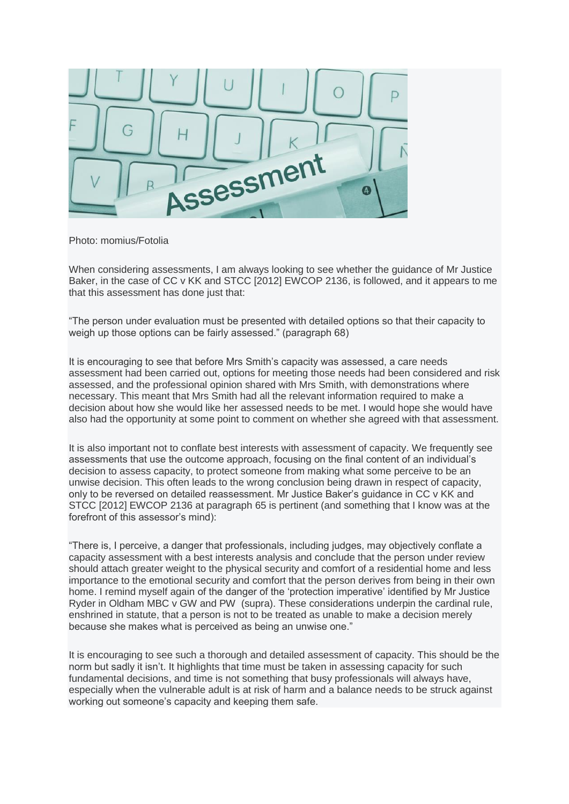

Photo: momius/Fotolia

When considering assessments, I am always looking to see whether the guidance of Mr Justice Baker, in the case of [CC v KK and STCC \[2012\] EWCOP 2136,](http://www.bailii.org/ew/cases/EWHC/COP/2012/2136.html) is followed, and it appears to me that this assessment has done just that:

"The person under evaluation must be presented with detailed options so that their capacity to weigh up those options can be fairly assessed." (paragraph 68)

It is encouraging to see that before Mrs Smith's capacity was assessed, a care needs assessment had been carried out, options for meeting those needs had been considered and risk assessed, and the professional opinion shared with Mrs Smith, with demonstrations where necessary. This meant that Mrs Smith had all the relevant information required to make a decision about how she would like her assessed needs to be met. I would hope she would have also had the opportunity at some point to comment on whether she agreed with that assessment.

It is also important not to conflate best interests with assessment of capacity. We frequently see assessments that use the outcome approach, focusing on the final content of an individual's decision to assess capacity, to protect someone from making what some perceive to be an unwise decision. This often leads to the wrong conclusion being drawn in respect of capacity, only to be reversed on detailed reassessment. Mr Justice Baker's guidance in [CC v KK and](http://www.bailii.org/ew/cases/EWHC/COP/2012/2136.html)  [STCC \[2012\] EWCOP 2136](http://www.bailii.org/ew/cases/EWHC/COP/2012/2136.html) at paragraph 65 is pertinent (and something that I know was at the forefront of this assessor's mind):

"There is, I perceive, a danger that professionals, including judges, may objectively conflate a capacity assessment with a best interests analysis and conclude that the person under review should attach greater weight to the physical security and comfort of a residential home and less importance to the emotional security and comfort that the person derives from being in their own home. I remind myself again of the danger of the 'protection imperative' identified by Mr Justice Ryder in [Oldham MBC v GW and PW](http://www.familylawweek.co.uk/site.aspx?i=ed703) (supra). These considerations underpin the cardinal rule, enshrined in statute, that a person is not to be treated as unable to make a decision merely because she makes what is perceived as being an unwise one."

It is encouraging to see such a thorough and detailed assessment of capacity. This should be the norm but sadly it isn't. It highlights that time must be taken in assessing capacity for such fundamental decisions, and time is not something that busy professionals will always have, especially when the vulnerable adult is at risk of harm and a balance needs to be struck against working out someone's capacity and keeping them safe.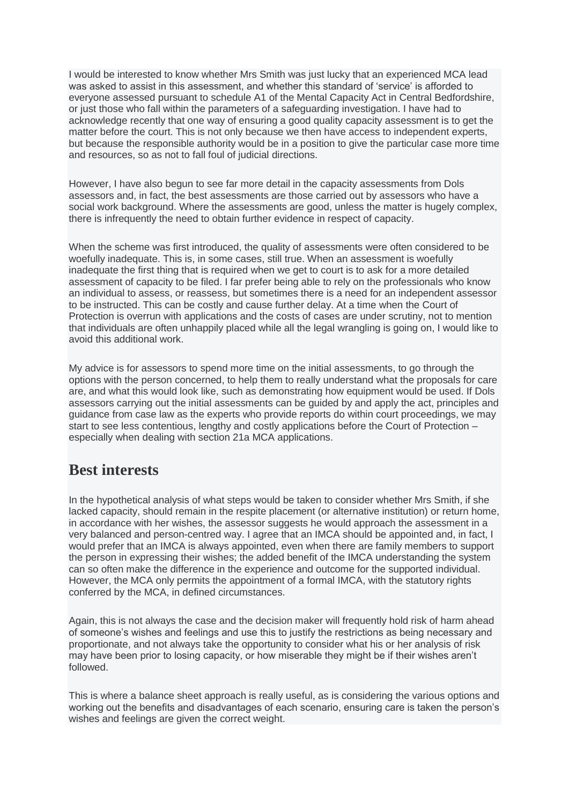I would be interested to know whether Mrs Smith was just lucky that an experienced MCA lead was asked to assist in this assessment, and whether this standard of 'service' is afforded to everyone assessed pursuant to schedule A1 of the Mental Capacity Act in Central Bedfordshire, or just those who fall within the parameters of a safeguarding investigation. I have had to acknowledge recently that one way of ensuring a good quality capacity assessment is to get the matter before the court. This is not only because we then have access to independent experts, but because the responsible authority would be in a position to give the particular case more time and resources, so as not to fall foul of judicial directions.

However, I have also begun to see far more detail in the capacity assessments from Dols assessors and, in fact, the best assessments are those carried out by assessors who have a social work background. Where the assessments are good, unless the matter is hugely complex, there is infrequently the need to obtain further evidence in respect of capacity.

When the scheme was first introduced, the quality of assessments were often considered to be woefully inadequate. This is, in some cases, still true. When an assessment is woefully inadequate the first thing that is required when we get to court is to ask for a more detailed assessment of capacity to be filed. I far prefer being able to rely on the professionals who know an individual to assess, or reassess, but sometimes there is a need for an independent assessor to be instructed. This can be costly and cause further delay. At a time when the Court of Protection is overrun with applications and the costs of cases are under scrutiny, not to mention that individuals are often unhappily placed while all the legal wrangling is going on, I would like to avoid this additional work.

My advice is for assessors to spend more time on the initial assessments, to go through the options with the person concerned, to help them to really understand what the proposals for care are, and what this would look like, such as demonstrating how equipment would be used. If Dols assessors carrying out the initial assessments can be guided by and apply the act, principles and guidance from case law as the experts who provide reports do within court proceedings, we may start to see less contentious, lengthy and costly applications before the Court of Protection – especially when dealing with section 21a MCA applications.

#### **Best interests**

In the hypothetical analysis of what steps would be taken to consider whether Mrs Smith, if she lacked capacity, should remain in the respite placement (or alternative institution) or return home, in accordance with her wishes, the assessor suggests he would approach the assessment in a very balanced and person-centred way. I agree that an IMCA should be appointed and, in fact, I would prefer that an IMCA is always appointed, even when there are family members to support the person in expressing their wishes; the added benefit of the IMCA understanding the system can so often make the difference in the experience and outcome for the supported individual. However, the MCA only permits the appointment of a formal IMCA, with the statutory rights conferred by the MCA, in defined circumstances.

Again, this is not always the case and the decision maker will frequently hold risk of harm ahead of someone's wishes and feelings and use this to justify the restrictions as being necessary and proportionate, and not always take the opportunity to consider what his or her analysis of risk may have been prior to losing capacity, or how miserable they might be if their wishes aren't followed.

This is where a balance sheet approach is really useful, as is considering the various options and working out the benefits and disadvantages of each scenario, ensuring care is taken the person's wishes and feelings are given the correct weight.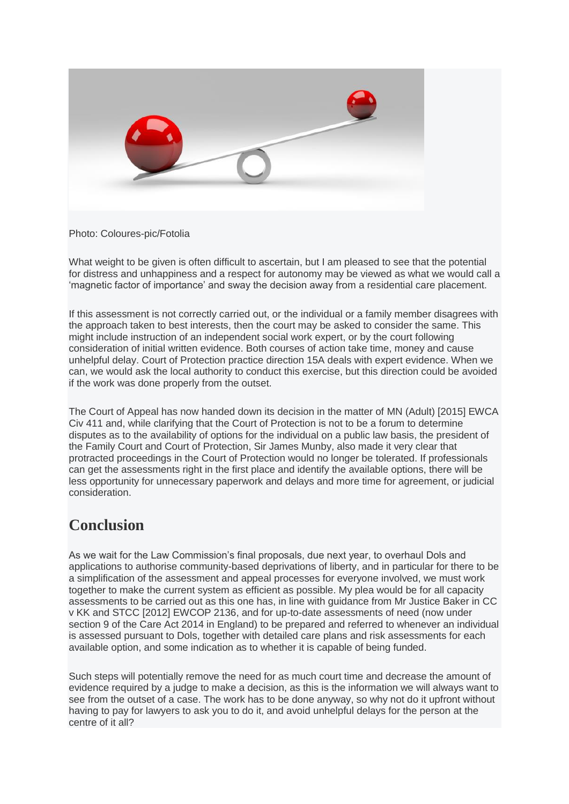

Photo: Coloures-pic/Fotolia

What weight to be given is often difficult to ascertain, but I am pleased to see that the potential for distress and unhappiness and a respect for autonomy may be viewed as what we would call a 'magnetic factor of importance' and sway the decision away from a residential care placement.

If this assessment is not correctly carried out, or the individual or a family member disagrees with the approach taken to best interests, then the court may be asked to consider the same. This might include instruction of an independent social work expert, or by the court following consideration of initial written evidence. Both courses of action take time, money and cause unhelpful delay. Court of Protection practice direction 15A deals with expert evidence. When we can, we would ask the local authority to conduct this exercise, but this direction could be avoided if the work was done properly from the outset.

The Court of Appeal has now handed down its decision in the matter of [MN \(Adult\) \[2015\] EWCA](http://adults.ccinform.co.uk/case-law/mn-adult2015-ewca-civ-411/)  [Civ 411](http://adults.ccinform.co.uk/case-law/mn-adult2015-ewca-civ-411/) and, while clarifying that the Court of Protection is not to be a forum to determine disputes as to the availability of options for the individual on a public law basis, the president of the Family Court and Court of Protection, Sir James Munby, also made it very clear that protracted proceedings in the Court of Protection would no longer be tolerated. If professionals can get the assessments right in the first place and identify the available options, there will be less opportunity for unnecessary paperwork and delays and more time for agreement, or judicial consideration.

#### **Conclusion**

As we wait for the Law Commission's final proposals, due next year, to overhaul Dols and applications to authorise community-based deprivations of liberty, and in particular for there to be a simplification of the assessment and appeal processes for everyone involved, we must work together to make the current system as efficient as possible. My plea would be for all capacity assessments to be carried out as this one has, in line with guidance from Mr Justice Baker in [CC](http://www.bailii.org/ew/cases/EWHC/COP/2012/2136.html)  [v KK and STCC \[2012\] EWCOP 2136,](http://www.bailii.org/ew/cases/EWHC/COP/2012/2136.html) and for up-to-date assessments of need (now under section 9 of the Care Act 2014 in England) to be prepared and referred to whenever an individual is assessed pursuant to Dols, together with detailed care plans and risk assessments for each available option, and some indication as to whether it is capable of being funded.

Such steps will potentially remove the need for as much court time and decrease the amount of evidence required by a judge to make a decision, as this is the information we will always want to see from the outset of a case. The work has to be done anyway, so why not do it upfront without having to pay for lawyers to ask you to do it, and avoid unhelpful delays for the person at the centre of it all?